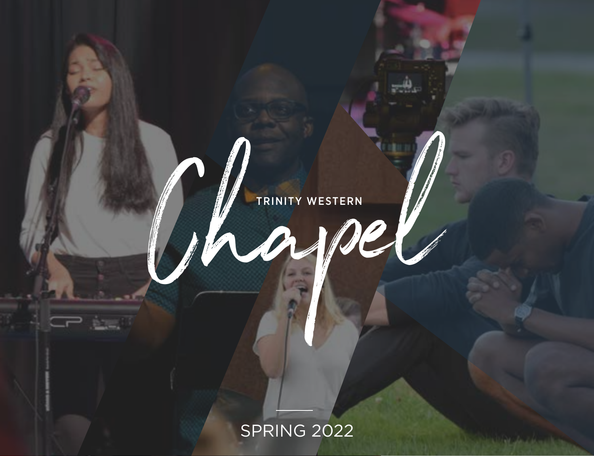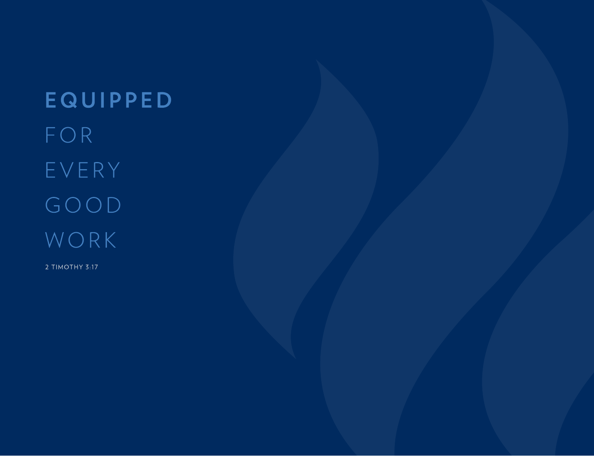**EQUIPPED** FOR EVERY GOOD WORK

2 TIMOTHY 3:17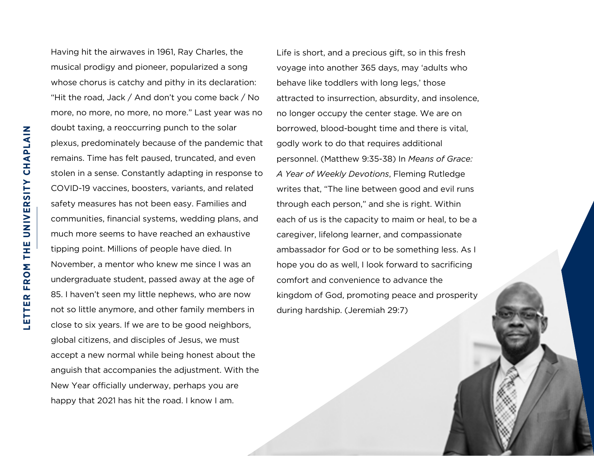Having hit the airwaves in 1961, Ray Charles, the musical prodigy and pioneer, popularized a song whose chorus is catchy and pithy in its declaration: "Hit the road, Jack / And don't you come back / No more, no more, no more, no more." Last year was no doubt taxing, a reoccurring punch to the solar plexus, predominately because of the pandemic that remains. Time has felt paused, truncated, and even stolen in a sense. Constantly adapting in response to COVID-19 vaccines, boosters, variants, and related safety measures has not been easy. Families and communities, financial systems, wedding plans, and much more seems to have reached an exhaustive tipping point. Millions of people have died. In November, a mentor who knew me since I was an undergraduate student, passed away at the age of 85. I haven't seen my little nephews, who are now not so little anymore, and other family members in close to six years. If we are to be good neighbors, global citizens, and disciples of Jesus, we must accept a new normal while being honest about the anguish that accompanies the adjustment. With the New Year officially underway, perhaps you are happy that 2021 has hit the road. I know I am.

Life is short, and a precious gift, so in this fresh voyage into another 365 days, may 'adults who behave like toddlers with long legs,' those attracted to insurrection, absurdity, and insolence, no longer occupy the center stage. We are on borrowed, blood-bought time and there is vital, godly work to do that requires additional personnel. (Matthew 9:35-38) In *Means of Grace: A Year of Weekly Devotions*, Fleming Rutledge writes that, "The line between good and evil runs through each person," and she is right. Within each of us is the capacity to maim or heal, to be a caregiver, lifelong learner, and compassionate ambassador for God or to be something less. As I hope you do as well, I look forward to sacrificing comfort and convenience to advance the kingdom of God, promoting peace and prosperity during hardship. (Jeremiah 29:7)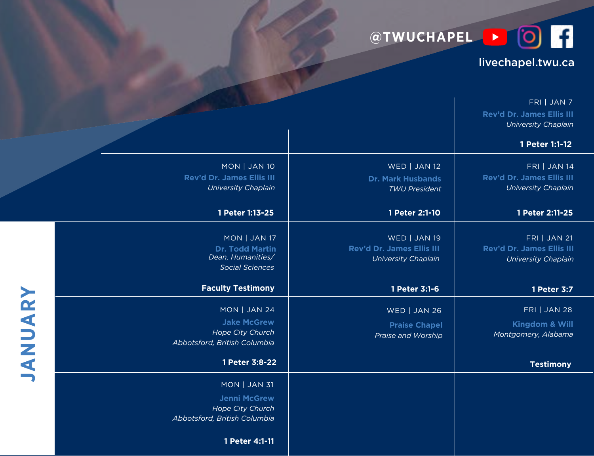**@TWUCHAPEL** 

## livechapel.twu.ca

|         |                                                                                               |                                                                         | FRI   JAN 7<br>Rev'd Dr. James Ellis III<br><b>University Chaplain</b><br>1 Peter 1:1-12 |
|---------|-----------------------------------------------------------------------------------------------|-------------------------------------------------------------------------|------------------------------------------------------------------------------------------|
|         | MON   JAN 10<br>Rev'd Dr. James Ellis III<br>University Chaplain                              | WED   JAN 12<br><b>Dr. Mark Husbands</b><br><b>TWU President</b>        | <b>FRI   JAN 14</b><br>Rev'd Dr. James Ellis III<br><b>University Chaplain</b>           |
|         | 1 Peter 1:13-25                                                                               | 1 Peter 2:1-10                                                          | 1 Peter 2:11-25                                                                          |
|         | MON   JAN 17<br><b>Dr. Todd Martin</b><br>Dean, Humanities/<br><b>Social Sciences</b>         | WED   JAN 19<br>Rev'd Dr. James Ellis III<br><b>University Chaplain</b> | <b>FRI   JAN 21</b><br>Rev'd Dr. James Ellis III<br><b>University Chaplain</b>           |
|         | <b>Faculty Testimony</b>                                                                      | 1 Peter 3:1-6                                                           | 1 Peter 3:7                                                                              |
|         |                                                                                               |                                                                         |                                                                                          |
|         | MON   JAN 24<br><b>Jake McGrew</b><br><b>Hope City Church</b><br>Abbotsford, British Columbia | WED   JAN 26<br><b>Praise Chapel</b><br>Praise and Worship              | <b>FRI   JAN 28</b><br>Kingdom & Will<br>Montgomery, Alabama                             |
| JANUARY | 1 Peter 3:8-22                                                                                |                                                                         | <b>Testimony</b>                                                                         |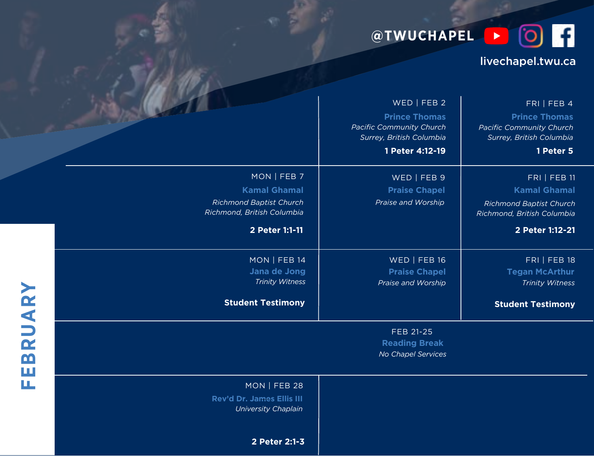**@TWUCHAPEL D Q** 

## livechapel.twu.ca

|         |                                                                                                                      | WED   FEB 2<br><b>Prince Thomas</b><br><b>Pacific Community Church</b><br>Surrey, British Columbia<br>1 Peter 4:12-19 | FRI   FEB 4<br><b>Prince Thomas</b><br><b>Pacific Community Church</b><br>Surrey, British Columbia<br>1 Peter 5               |
|---------|----------------------------------------------------------------------------------------------------------------------|-----------------------------------------------------------------------------------------------------------------------|-------------------------------------------------------------------------------------------------------------------------------|
|         | MON   FEB 7<br><b>Kamal Ghamal</b><br><b>Richmond Baptist Church</b><br>Richmond, British Columbia<br>2 Peter 1:1-11 | WED   FEB 9<br><b>Praise Chapel</b><br>Praise and Worship                                                             | <b>FRI   FEB 11</b><br><b>Kamal Ghamal</b><br><b>Richmond Baptist Church</b><br>Richmond, British Columbia<br>2 Peter 1:12-21 |
|         | MON   FEB 14<br>Jana de Jong<br><b>Trinity Witness</b><br><b>Student Testimony</b>                                   | WED   FEB 16<br><b>Praise Chapel</b><br>Praise and Worship                                                            | <b>FRI   FEB 18</b><br><b>Tegan McArthur</b><br><b>Trinity Witness</b><br><b>Student Testimony</b>                            |
| EBRUARY |                                                                                                                      | FEB 21-25<br><b>Reading Break</b><br>No Chapel Services                                                               |                                                                                                                               |
| щ       | MON   FEB 28<br>Rev'd Dr. James Ellis III<br><b>University Chaplain</b>                                              |                                                                                                                       |                                                                                                                               |

**2 Peter 2:1-3**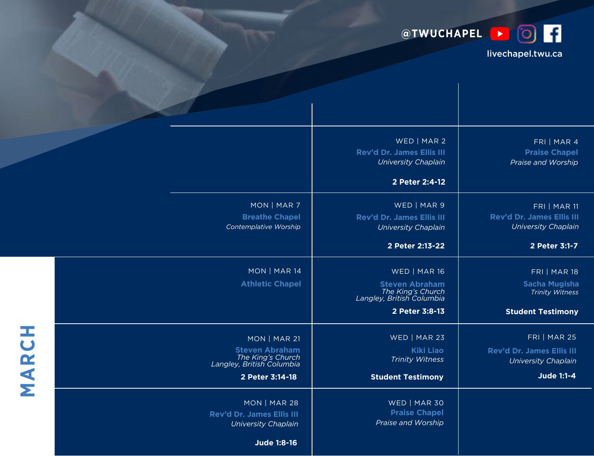

## livechapel.twu.ca

|       |                                                                                        | WED   MAR 2<br>Rev'd Dr. James Ellis III<br><b>University Chaplain</b> | FRI   MAR 4<br><b>Praise Chapel</b><br>Praise and Worship               |
|-------|----------------------------------------------------------------------------------------|------------------------------------------------------------------------|-------------------------------------------------------------------------|
|       |                                                                                        | 2 Peter 2:4-12                                                         |                                                                         |
|       | MON   MAR 7<br><b>Breathe Chapel</b><br>Contemplative Worship                          | WED   MAR 9<br>Rev'd Dr. James Ellis III<br><b>University Chaplain</b> | FRI   MAR 11<br>Rev'd Dr. James Ellis III<br><b>University Chaplain</b> |
|       |                                                                                        | 2 Peter 2:13-22                                                        | 2 Peter 3:1-7                                                           |
|       | MON   MAR 14<br><b>Athletic Chapel</b>                                                 | WED   MAR 16<br><b>Steven Abraham</b>                                  | <b>FRI   MAR 18</b><br>Sacha Mugisha                                    |
|       |                                                                                        | The King's Church<br>Langley, British Columbia<br>2 Peter 3:8-13       | <b>Trinity Witness</b><br><b>Student Testimony</b>                      |
|       |                                                                                        |                                                                        |                                                                         |
|       | MON   MAR 21                                                                           | WED   MAR 23                                                           | <b>FRI   MAR 25</b>                                                     |
| MARCH | Steven Abraham<br>The King's Church<br>Langley, British Columbia                       | <b>Kiki Liao</b><br><b>Trinity Witness</b>                             | Rev'd Dr. James Ellis III<br><b>University Chaplain</b>                 |
|       | 2 Peter 3:14-18                                                                        | <b>Student Testimony</b>                                               | Jude 1:1-4                                                              |
|       | MON   MAR 28<br>Rev'd Dr. James Ellis III<br><b>University Chaplain</b><br>Jude 1:8-16 | WED   MAR 30<br><b>Praise Chapel</b><br>Praise and Worship             |                                                                         |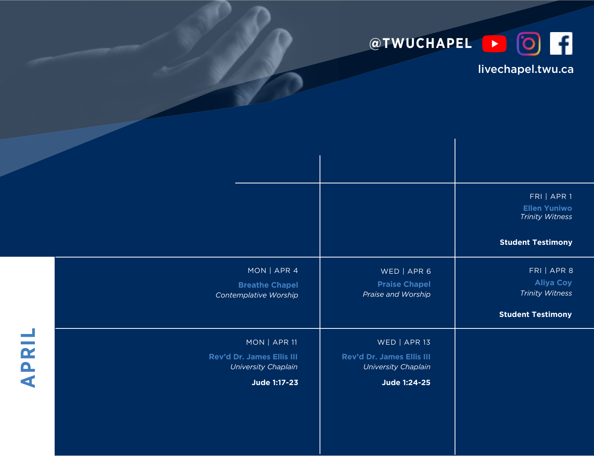

## livechapel.twu.ca

|              |                                                                  |                                                                         | FRI   APR 1<br><b>Ellen Yuniwo</b><br><b>Trinity Witness</b>                          |
|--------------|------------------------------------------------------------------|-------------------------------------------------------------------------|---------------------------------------------------------------------------------------|
|              |                                                                  |                                                                         | <b>Student Testimony</b>                                                              |
|              | MON   APR 4<br><b>Breathe Chapel</b><br>Contemplative Worship    | WED   APR 6<br><b>Praise Chapel</b><br>Praise and Worship               | FRI   APR 8<br><b>Aliya Coy</b><br><b>Trinity Witness</b><br><b>Student Testimony</b> |
|              |                                                                  |                                                                         |                                                                                       |
| <b>APRIL</b> | MON   APR 11<br>Rev'd Dr. James Ellis III<br>University Chaplain | WED   APR 13<br>Rev'd Dr. James Ellis III<br><b>University Chaplain</b> |                                                                                       |
|              | Jude 1:17-23                                                     | Jude 1:24-25                                                            |                                                                                       |
|              |                                                                  |                                                                         |                                                                                       |
|              |                                                                  |                                                                         |                                                                                       |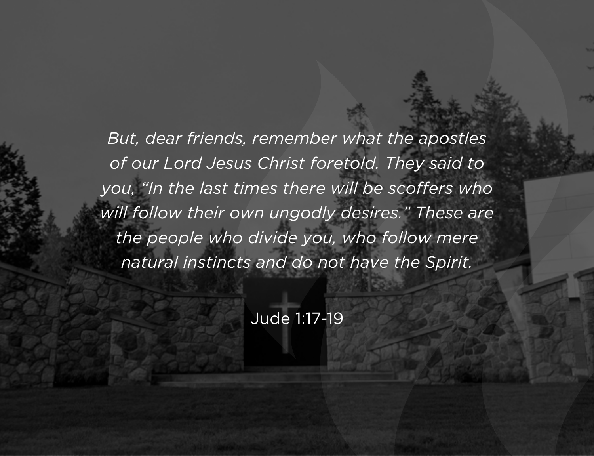*But, dear friends, remember what the apostles of our Lord Jesus Christ foretold. They said to you, "In the last times there will be scoffers who will follow their own ungodly desires." These are the people who divide you, who follow mere natural instincts and do not have the Spirit.*

Jude 1:17-19